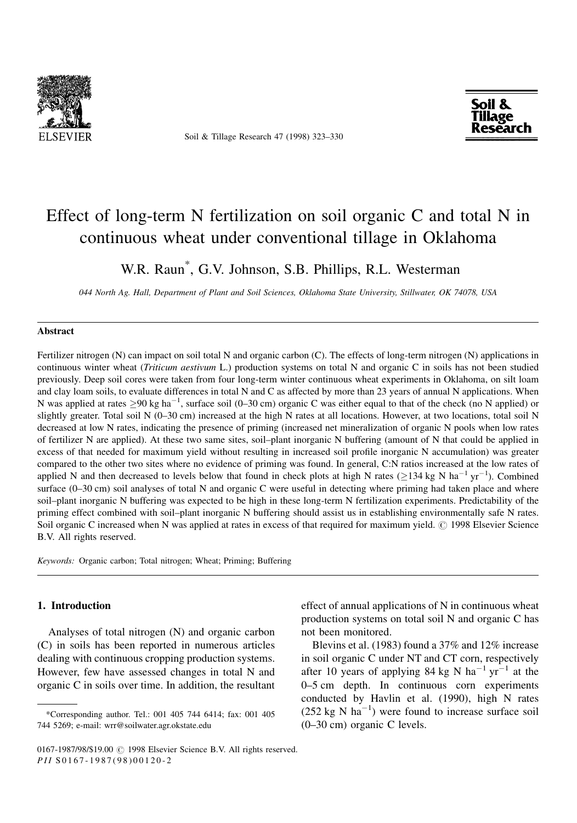

Soil & Tillage Research 47 (1998) 323-330



# Effect of long-term N fertilization on soil organic C and total N in continuous wheat under conventional tillage in Oklahoma

W.R. Raun\* , G.V. Johnson, S.B. Phillips, R.L. Westerman

044 North Ag. Hall, Department of Plant and Soil Sciences, Oklahoma State University, Stillwater, OK 74078, USA

### Abstract

Fertilizer nitrogen (N) can impact on soil total N and organic carbon (C). The effects of long-term nitrogen (N) applications in continuous winter wheat (Triticum aestivum L.) production systems on total N and organic C in soils has not been studied previously. Deep soil cores were taken from four long-term winter continuous wheat experiments in Oklahoma, on silt loam and clay loam soils, to evaluate differences in total N and C as affected by more than 23 years of annual N applications. When N was applied at rates  $\geq 90$  kg ha<sup>-1</sup>, surface soil (0-30 cm) organic C was either equal to that of the check (no N applied) or slightly greater. Total soil N (0–30 cm) increased at the high N rates at all locations. However, at two locations, total soil N decreased at low N rates, indicating the presence of priming (increased net mineralization of organic N pools when low rates of fertilizer N are applied). At these two same sites, soil-plant inorganic N buffering (amount of N that could be applied in excess of that needed for maximum yield without resulting in increased soil profile inorganic N accumulation) was greater compared to the other two sites where no evidence of priming was found. In general, C:N ratios increased at the low rates of applied N and then decreased to levels below that found in check plots at high N rates ( $\geq$ 134 kg N ha<sup>-1</sup> yr<sup>-1</sup>). Combined surface  $(0-30 \text{ cm})$  soil analyses of total N and organic C were useful in detecting where priming had taken place and where soil-plant inorganic N buffering was expected to be high in these long-term N fertilization experiments. Predictability of the priming effect combined with soil-plant inorganic N buffering should assist us in establishing environmentally safe N rates. Soil organic C increased when N was applied at rates in excess of that required for maximum yield. © 1998 Elsevier Science B.V. All rights reserved.

Keywords: Organic carbon; Total nitrogen; Wheat; Priming; Buffering

# 1. Introduction

Analyses of total nitrogen (N) and organic carbon (C) in soils has been reported in numerous articles dealing with continuous cropping production systems. However, few have assessed changes in total N and organic C in soils over time. In addition, the resultant effect of annual applications of N in continuous wheat production systems on total soil N and organic C has not been monitored.

Blevins et al. (1983) found a 37% and 12% increase in soil organic C under NT and CT corn, respectively after 10 years of applying 84 kg N ha<sup>-1</sup> yr<sup>-1</sup> at the 0–5 cm depth. In continuous corn experiments conducted by Havlin et al. (1990), high N rates  $(252 \text{ kg N} \text{ ha}^{-1})$  were found to increase surface soil  $(0-30 \text{ cm})$  organic C levels.

<sup>\*</sup>Corresponding author. Tel.: 001 405 744 6414; fax: 001 405 744 5269; e-mail: wrr@soilwater.agr.okstate.edu

<sup>0167-1987/98/\$19.00 © 1998</sup> Elsevier Science B.V. All rights reserved. PII S 0 1 6 7 - 1 9 8 7 ( 9 8 ) 0 0 1 2 0 - 2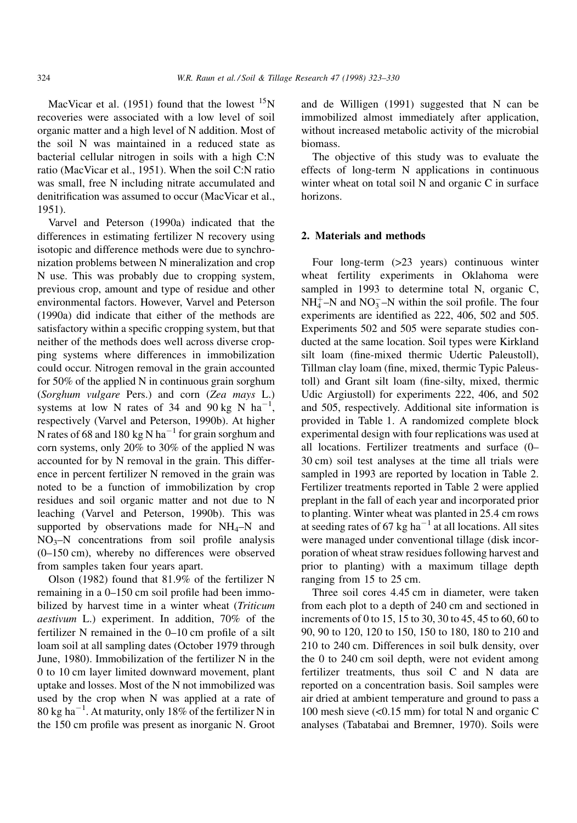MacVicar et al. (1951) found that the lowest  $15N$ recoveries were associated with a low level of soil organic matter and a high level of N addition. Most of the soil N was maintained in a reduced state as bacterial cellular nitrogen in soils with a high C:N ratio (MacVicar et al., 1951). When the soil C:N ratio was small, free N including nitrate accumulated and denitrification was assumed to occur (MacVicar et al., 1951).

Varvel and Peterson (1990a) indicated that the differences in estimating fertilizer N recovery using isotopic and difference methods were due to synchronization problems between N mineralization and crop N use. This was probably due to cropping system, previous crop, amount and type of residue and other environmental factors. However, Varvel and Peterson (1990a) did indicate that either of the methods are satisfactory within a specific cropping system, but that neither of the methods does well across diverse cropping systems where differences in immobilization could occur. Nitrogen removal in the grain accounted for 50% of the applied N in continuous grain sorghum (Sorghum vulgare Pers.) and corn (Zea mays L.) systems at low N rates of 34 and 90 kg N  $ha^{-1}$ , respectively (Varvel and Peterson, 1990b). At higher N rates of 68 and 180 kg N ha<sup> $-1$ </sup> for grain sorghum and corn systems, only 20% to 30% of the applied N was accounted for by N removal in the grain. This difference in percent fertilizer N removed in the grain was noted to be a function of immobilization by crop residues and soil organic matter and not due to N leaching (Varvel and Peterson, 1990b). This was supported by observations made for  $NH_4-N$  and  $NO<sub>3</sub>–N$  concentrations from soil profile analysis (0-150 cm), whereby no differences were observed from samples taken four years apart.

Olson (1982) found that 81.9% of the fertilizer N remaining in a  $0-150$  cm soil profile had been immobilized by harvest time in a winter wheat (Triticum aestivum L.) experiment. In addition, 70% of the fertilizer N remained in the  $0-10$  cm profile of a silt loam soil at all sampling dates (October 1979 through June, 1980). Immobilization of the fertilizer N in the 0 to 10 cm layer limited downward movement, plant uptake and losses. Most of the N not immobilized was used by the crop when N was applied at a rate of  $80 \text{ kg ha}^{-1}$ . At maturity, only 18% of the fertilizer N in the 150 cm profile was present as inorganic N. Groot and de Willigen (1991) suggested that N can be immobilized almost immediately after application, without increased metabolic activity of the microbial biomass.

The objective of this study was to evaluate the effects of long-term N applications in continuous winter wheat on total soil N and organic C in surface horizons.

## 2. Materials and methods

Four long-term (>23 years) continuous winter wheat fertility experiments in Oklahoma were sampled in 1993 to determine total N, organic C,  $NH_4^+$ –N and  $NO_3^-$ –N within the soil profile. The four experiments are identified as 222, 406, 502 and 505. Experiments 502 and 505 were separate studies conducted at the same location. Soil types were Kirkland silt loam (fine-mixed thermic Udertic Paleustoll), Tillman clay loam (fine, mixed, thermic Typic Paleustoll) and Grant silt loam (fine-silty, mixed, thermic Udic Argiustoll) for experiments 222, 406, and 502 and 505, respectively. Additional site information is provided in Table 1. A randomized complete block experimental design with four replications was used at all locations. Fertilizer treatments and surface (0-30 cm) soil test analyses at the time all trials were sampled in 1993 are reported by location in Table 2. Fertilizer treatments reported in Table 2 were applied preplant in the fall of each year and incorporated prior to planting. Winter wheat was planted in 25.4 cm rows at seeding rates of 67 kg ha<sup> $-1$ </sup> at all locations. All sites were managed under conventional tillage (disk incorporation of wheat straw residues following harvest and prior to planting) with a maximum tillage depth ranging from 15 to 25 cm.

Three soil cores 4.45 cm in diameter, were taken from each plot to a depth of 240 cm and sectioned in increments of 0 to 15, 15 to 30, 30 to 45, 45 to 60, 60 to 90, 90 to 120, 120 to 150, 150 to 180, 180 to 210 and 210 to 240 cm. Differences in soil bulk density, over the 0 to 240 cm soil depth, were not evident among fertilizer treatments, thus soil C and N data are reported on a concentration basis. Soil samples were air dried at ambient temperature and ground to pass a 100 mesh sieve (<0.15 mm) for total N and organic C analyses (Tabatabai and Bremner, 1970). Soils were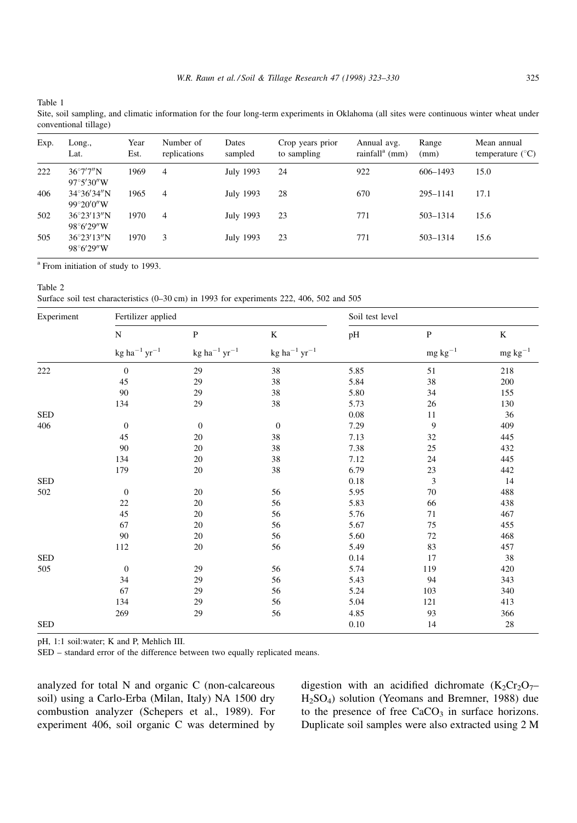Table 1

Site, soil sampling, and climatic information for the four long-term experiments in Oklahoma (all sites were continuous winter wheat under conventional tillage)

| Exp. | Long.,<br>Lat.                              | Year<br>Est. | Number of<br>replications | Dates<br>sampled | Crop years prior<br>to sampling | Annual avg.<br>rainfall $^a$ (mm) | Range<br>(mm) | Mean annual<br>temperature $(^{\circ}C)$ |
|------|---------------------------------------------|--------------|---------------------------|------------------|---------------------------------|-----------------------------------|---------------|------------------------------------------|
| 222  | $36^{\circ}7'7''N$<br>$97^{\circ}5'30''$ W  | 1969         | $\overline{4}$            | July 1993        | 24                              | 922                               | 606-1493      | 15.0                                     |
| 406  | $34^{\circ}36'34''N$<br>$99^{\circ}20'0''W$ | 1965         | $\overline{4}$            | July 1993        | 28                              | 670                               | 295-1141      | 17.1                                     |
| 502  | $36^{\circ}23'13''N$<br>$98^{\circ}6'29''W$ | 1970         | $\overline{4}$            | July 1993        | 23                              | 771                               | 503-1314      | 15.6                                     |
| 505  | $36^{\circ}23'13''N$<br>$98^{\circ}6'29''W$ | 1970         | 3                         | July 1993        | 23                              | 771                               | 503-1314      | 15.6                                     |

<sup>a</sup> From initiation of study to 1993.

Surface soil test characteristics (0-30 cm) in 1993 for experiments 222, 406, 502 and 505

| Experiment | Fertilizer applied       |                          | Soil test level          |      |                                    |                       |
|------------|--------------------------|--------------------------|--------------------------|------|------------------------------------|-----------------------|
|            | ${\bf N}$                | $\mathbf{P}$             | $\rm K$                  | pH   | $\, {\bf P}$<br>${\rm mg~kg^{-1}}$ | K<br>$\rm mg~kg^{-1}$ |
|            | $\rm kg~ha^{-1}~yr^{-1}$ | $\rm kg~ha^{-1}~yr^{-1}$ | $\rm kg~ha^{-1}~yr^{-1}$ |      |                                    |                       |
| 222        | $\boldsymbol{0}$         | 29                       | 38                       | 5.85 | 51                                 | 218                   |
|            | 45                       | 29                       | 38                       | 5.84 | 38                                 | 200                   |
|            | 90                       | 29                       | 38                       | 5.80 | 34                                 | 155                   |
|            | 134                      | 29                       | 38                       | 5.73 | 26                                 | 130                   |
| <b>SED</b> |                          |                          |                          | 0.08 | 11                                 | 36                    |
| 406        | $\theta$                 | $\mathbf{0}$             | $\mathbf{0}$             | 7.29 | 9                                  | 409                   |
|            | 45                       | 20                       | 38                       | 7.13 | 32                                 | 445                   |
|            | 90                       | 20                       | 38                       | 7.38 | $25\,$                             | 432                   |
|            | 134                      | 20                       | 38                       | 7.12 | 24                                 | 445                   |
|            | 179                      | 20                       | 38                       | 6.79 | $23\,$                             | 442                   |
| <b>SED</b> |                          |                          |                          | 0.18 | 3                                  | 14                    |
| 502        | $\boldsymbol{0}$         | 20                       | 56                       | 5.95 | 70                                 | 488                   |
|            | 22                       | 20                       | 56                       | 5.83 | 66                                 | 438                   |
|            | 45                       | 20                       | 56                       | 5.76 | 71                                 | 467                   |
|            | 67                       | 20                       | 56                       | 5.67 | 75                                 | 455                   |
|            | 90                       | 20                       | 56                       | 5.60 | 72                                 | 468                   |
|            | 112                      | 20                       | 56                       | 5.49 | 83                                 | 457                   |
| <b>SED</b> |                          |                          |                          | 0.14 | 17                                 | 38                    |
| 505        | $\boldsymbol{0}$         | 29                       | 56                       | 5.74 | 119                                | 420                   |
|            | 34                       | 29                       | 56                       | 5.43 | 94                                 | 343                   |
|            | 67                       | 29                       | 56                       | 5.24 | 103                                | 340                   |
|            | 134                      | 29                       | 56                       | 5.04 | 121                                | 413                   |
|            | 269                      | 29                       | 56                       | 4.85 | 93                                 | 366                   |
| <b>SED</b> |                          |                          |                          | 0.10 | 14                                 | 28                    |

pH, 1:1 soil:water; K and P, Mehlich III.

SED - standard error of the difference between two equally replicated means.

analyzed for total N and organic C (non-calcareous soil) using a Carlo-Erba (Milan, Italy) NA 1500 dry combustion analyzer (Schepers et al., 1989). For experiment 406, soil organic C was determined by

digestion with an acidified dichromate  $(K_2Cr_2O_7$ -H2SO4) solution (Yeomans and Bremner, 1988) due to the presence of free  $CaCO<sub>3</sub>$  in surface horizons. Duplicate soil samples were also extracted using 2 M

Table 2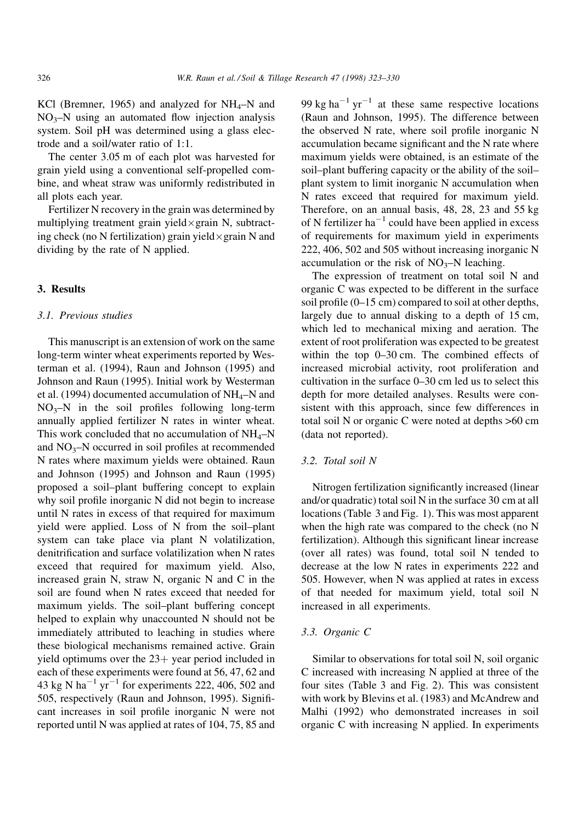KCl (Bremner, 1965) and analyzed for  $NH<sub>4</sub>-N$  and  $NO<sub>3</sub>–N$  using an automated flow injection analysis system. Soil pH was determined using a glass electrode and a soil/water ratio of 1:1.

The center 3.05 m of each plot was harvested for grain yield using a conventional self-propelled combine, and wheat straw was uniformly redistributed in all plots each year.

Fertilizer N recovery in the grain was determined by multiplying treatment grain yield-grain N, subtracting check (no N fertilization) grain yield $\times$ grain N and dividing by the rate of N applied.

# 3. Results

#### 3.1. Previous studies

This manuscript is an extension of work on the same long-term winter wheat experiments reported by Westerman et al. (1994), Raun and Johnson (1995) and Johnson and Raun (1995). Initial work by Westerman et al. (1994) documented accumulation of  $NH<sub>4</sub>-N$  and  $NO<sub>3</sub>–N$  in the soil profiles following long-term annually applied fertilizer N rates in winter wheat. This work concluded that no accumulation of  $NH_4-N$ and  $NO<sub>3</sub>–N$  occurred in soil profiles at recommended N rates where maximum yields were obtained. Raun and Johnson (1995) and Johnson and Raun (1995) proposed a soil-plant buffering concept to explain why soil profile inorganic N did not begin to increase until N rates in excess of that required for maximum yield were applied. Loss of N from the soil-plant system can take place via plant N volatilization, denitrification and surface volatilization when N rates exceed that required for maximum yield. Also, increased grain N, straw N, organic N and C in the soil are found when N rates exceed that needed for maximum yields. The soil-plant buffering concept helped to explain why unaccounted N should not be immediately attributed to leaching in studies where these biological mechanisms remained active. Grain yield optimums over the  $23+$  year period included in each of these experiments were found at 56, 47, 62 and 43 kg N ha<sup> $-1$ </sup> yr<sup> $-1$ </sup> for experiments 222, 406, 502 and 505, respectively (Raun and Johnson, 1995). Significant increases in soil profile inorganic N were not reported until N was applied at rates of 104, 75, 85 and 99 kg ha<sup> $-1$ </sup> yr<sup> $-1$ </sup> at these same respective locations (Raun and Johnson, 1995). The difference between the observed N rate, where soil profile inorganic N accumulation became significant and the N rate where maximum yields were obtained, is an estimate of the soil-plant buffering capacity or the ability of the soilplant system to limit inorganic N accumulation when N rates exceed that required for maximum yield. Therefore, on an annual basis, 48, 28, 23 and 55 kg of N fertilizer ha<sup> $-1$ </sup> could have been applied in excess of requirements for maximum yield in experiments 222, 406, 502 and 505 without increasing inorganic N accumulation or the risk of  $NO<sub>3</sub>–N$  leaching.

The expression of treatment on total soil N and organic C was expected to be different in the surface soil profile  $(0-15 \text{ cm})$  compared to soil at other depths, largely due to annual disking to a depth of 15 cm, which led to mechanical mixing and aeration. The extent of root proliferation was expected to be greatest within the top  $0-30$  cm. The combined effects of increased microbial activity, root proliferation and cultivation in the surface  $0-30$  cm led us to select this depth for more detailed analyses. Results were consistent with this approach, since few differences in total soil N or organic C were noted at depths >60 cm (data not reported).

# 3.2. Total soil N

Nitrogen fertilization significantly increased (linear and/or quadratic) total soil N in the surface 30 cm at all locations (Table 3 and Fig. 1). This was most apparent when the high rate was compared to the check (no N fertilization). Although this significant linear increase (over all rates) was found, total soil N tended to decrease at the low N rates in experiments 222 and 505. However, when N was applied at rates in excess of that needed for maximum yield, total soil N increased in all experiments.

## 3.3. Organic C

Similar to observations for total soil N, soil organic C increased with increasing N applied at three of the four sites (Table 3 and Fig. 2). This was consistent with work by Blevins et al. (1983) and McAndrew and Malhi (1992) who demonstrated increases in soil organic C with increasing N applied. In experiments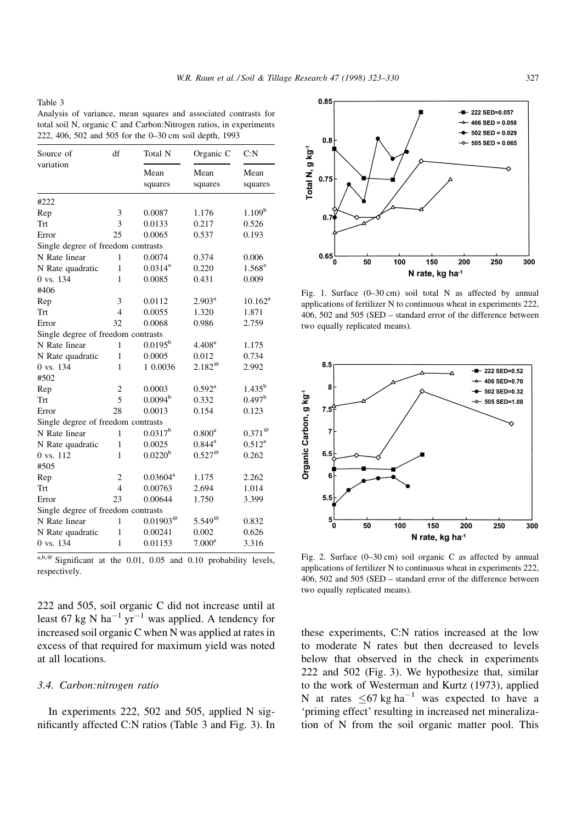#### Table 3

Analysis of variance, mean squares and associated contrasts for total soil N, organic C and Carbon:Nitrogen ratios, in experiments 222, 406, 502 and 505 for the 0-30 cm soil depth, 1993

| Source of                          | df                       | Total N                | Organic C              | C: N               |  |
|------------------------------------|--------------------------|------------------------|------------------------|--------------------|--|
| variation                          |                          | Mean<br>squares        | Mean<br>squares        | Mean<br>squares    |  |
| #222                               |                          |                        |                        |                    |  |
| Rep                                | 3                        | 0.0087                 | 1.176                  | 1.109 <sup>b</sup> |  |
| Trt                                | 3                        | 0.0133                 | 0.217                  | 0.526              |  |
| Error                              | 25                       | 0.0065                 | 0.537                  | 0.193              |  |
| Single degree of freedom contrasts |                          |                        |                        |                    |  |
| N Rate linear                      | 1                        | 0.0074                 | 0.374                  | 0.006              |  |
| N Rate quadratic                   | 1                        | $0.0314^{a}$           | 0.220                  | $1.568^{a}$        |  |
| 0 vs. 134                          | 1                        | 0.0085                 | 0.431                  | 0.009              |  |
| #406                               |                          |                        |                        |                    |  |
| Rep                                | 3                        | 0.0112                 | $2.903^{\rm a}$        | $10.162^a$         |  |
| Trt                                | $\overline{4}$           | 0.0055                 | 1.320                  | 1.871              |  |
| Error                              | 32                       | 0.0068                 | 0.986                  | 2.759              |  |
| Single degree of freedom contrasts |                          |                        |                        |                    |  |
| N Rate linear                      | 1                        | $0.0195^{\rm b}$       | 4.408 <sup>a</sup>     | 1.175              |  |
| N Rate quadratic                   | 1                        | 0.0005                 | 0.012                  | 0.734              |  |
| 0 vs. 134                          | 1                        | 1 0.0036               | $2.182^{\circ\circ}$   | 2.992              |  |
| #502                               |                          |                        |                        |                    |  |
| Rep                                | $\overline{c}$           | 0.0003                 | $0.592^{\rm a}$        | $1.435^{b}$        |  |
| Trt                                | 5                        | 0.0094 <sup>b</sup>    | 0.332                  | 0.497 <sup>b</sup> |  |
| Error                              | 28                       | 0.0013                 | 0.154                  | 0.123              |  |
| Single degree of freedom contrasts |                          |                        |                        |                    |  |
| N Rate linear                      | 1                        | $0.0317^{b}$           | $0.800^{\rm a}$        | $0.371^{\circ}$    |  |
| N Rate quadratic                   | 1                        | 0.0025                 | $0.844^{\rm a}$        | $0.512^{\rm a}$    |  |
| 0 vs. 112                          | 1                        | 0.0220 <sup>b</sup>    | $0.527^{\circledcirc}$ | 0.262              |  |
| #505                               |                          |                        |                        |                    |  |
| Rep                                | $\overline{c}$           | $0.03604^{\rm a}$      | 1.175                  | 2.262              |  |
| Trt                                | $\overline{\mathcal{L}}$ | 0.00763                | 2.694                  | 1.014              |  |
| Error                              | 23                       | 0.00644                | 1.750                  | 3.399              |  |
| Single degree of freedom contrasts |                          |                        |                        |                    |  |
| N Rate linear                      | 1                        | $0.01903^{\circ\circ}$ | $5.549^{\circ}$        | 0.832              |  |
| N Rate quadratic                   | 1                        | 0.00241                | 0.002                  | 0.626              |  |
| 0 vs. 134                          | $\mathbf{1}$             | 0.01153                | 7.000 <sup>a</sup>     | 3.316              |  |
|                                    |                          |                        |                        |                    |  |

 $a,b,e$  Significant at the 0.01, 0.05 and 0.10 probability levels, respectively.

222 and 505, soil organic C did not increase until at least 67 kg N ha<sup>-1</sup> yr<sup>-1</sup> was applied. A tendency for increased soil organic C when N was applied at rates in excess of that required for maximum yield was noted at all locations.

# 3.4. Carbon:nitrogen ratio

In experiments 222, 502 and 505, applied N significantly affected C:N ratios (Table 3 and Fig. 3). In



Fig. 1. Surface  $(0-30 \text{ cm})$  soil total N as affected by annual applications of fertilizer N to continuous wheat in experiments 222, 406, 502 and 505 (SED - standard error of the difference between two equally replicated means).



Fig. 2. Surface  $(0-30 \text{ cm})$  soil organic C as affected by annual applications of fertilizer N to continuous wheat in experiments 222,  $406$ ,  $502$  and  $505$  (SED  $-$  standard error of the difference between two equally replicated means).

these experiments, C:N ratios increased at the low to moderate N rates but then decreased to levels below that observed in the check in experiments 222 and 502 (Fig. 3). We hypothesize that, similar to the work of Westerman and Kurtz (1973), applied N at rates  $\leq 67 \text{ kg ha}^{-1}$  was expected to have a `priming effect' resulting in increased net mineralization of N from the soil organic matter pool. This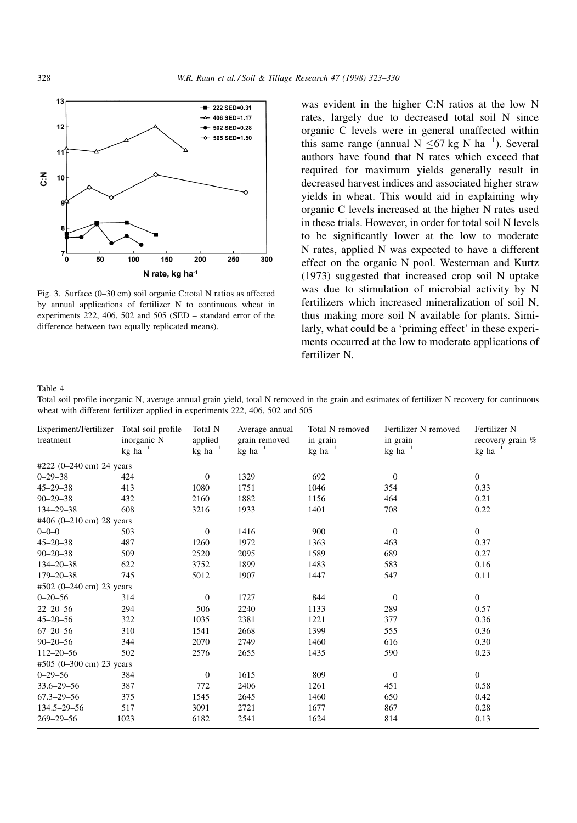

Fig. 3. Surface (0-30 cm) soil organic C:total N ratios as affected by annual applications of fertilizer N to continuous wheat in experiments  $222$ ,  $406$ ,  $502$  and  $505$  (SED  $-$  standard error of the difference between two equally replicated means).

was evident in the higher C:N ratios at the low N rates, largely due to decreased total soil N since organic C levels were in general unaffected within this same range (annual  $N \leq 67$  kg N ha<sup>-1</sup>). Several authors have found that N rates which exceed that required for maximum yields generally result in decreased harvest indices and associated higher straw yields in wheat. This would aid in explaining why organic C levels increased at the higher N rates used in these trials. However, in order for total soil N levels to be significantly lower at the low to moderate N rates, applied N was expected to have a different effect on the organic N pool. Westerman and Kurtz (1973) suggested that increased crop soil N uptake was due to stimulation of microbial activity by N fertilizers which increased mineralization of soil N, thus making more soil N available for plants. Similarly, what could be a 'priming effect' in these experiments occurred at the low to moderate applications of fertilizer N.

#### Table 4

Total soil profile inorganic N, average annual grain yield, total N removed in the grain and estimates of fertilizer N recovery for continuous wheat with different fertilizer applied in experiments 222, 406, 502 and 505

| Experiment/Fertilizer Total soil profile<br>treatment | inorganic N<br>$\text{kg}~\text{ha}^{-1}$ | Total N<br>applied<br>$kg$ ha <sup><math>-1</math></sup> | Average annual<br>grain removed<br>$kg$ ha <sup><math>-1</math></sup> | Total N removed<br>in grain<br>$\text{kg}$ ha $^{-1}$ | Fertilizer N removed<br>in grain<br>$\text{kg}~\text{ha}^{-1}$ | Fertilizer N<br>recovery grain %<br>$kg \text{ ha}^{-1}$ |
|-------------------------------------------------------|-------------------------------------------|----------------------------------------------------------|-----------------------------------------------------------------------|-------------------------------------------------------|----------------------------------------------------------------|----------------------------------------------------------|
|                                                       |                                           |                                                          |                                                                       |                                                       |                                                                |                                                          |
| #222 $(0-240 \text{ cm})$ 24 years                    |                                           |                                                          |                                                                       |                                                       |                                                                |                                                          |
| $0 - 29 - 38$                                         | 424                                       | $\theta$                                                 | 1329                                                                  | 692                                                   | $\theta$                                                       | $\mathbf{0}$                                             |
| $45 - 29 - 38$                                        | 413                                       | 1080                                                     | 1751                                                                  | 1046                                                  | 354                                                            | 0.33                                                     |
| $90 - 29 - 38$                                        | 432                                       | 2160                                                     | 1882                                                                  | 1156                                                  | 464                                                            | 0.21                                                     |
| 134-29-38                                             | 608                                       | 3216                                                     | 1933                                                                  | 1401                                                  | 708                                                            | 0.22                                                     |
| #406 (0-210 cm) 28 years                              |                                           |                                                          |                                                                       |                                                       |                                                                |                                                          |
| $0 - 0 - 0$                                           | 503                                       | $\theta$                                                 | 1416                                                                  | 900                                                   | $\theta$                                                       | $\mathbf{0}$                                             |
| $45 - 20 - 38$                                        | 487                                       | 1260                                                     | 1972                                                                  | 1363                                                  | 463                                                            | 0.37                                                     |
| $90 - 20 - 38$                                        | 509                                       | 2520                                                     | 2095                                                                  | 1589                                                  | 689                                                            | 0.27                                                     |
| $134 - 20 - 38$                                       | 622                                       | 3752                                                     | 1899                                                                  | 1483                                                  | 583                                                            | 0.16                                                     |
| $179 - 20 - 38$                                       | 745                                       | 5012                                                     | 1907                                                                  | 1447                                                  | 547                                                            | 0.11                                                     |
| #502 $(0-240 \text{ cm})$ 23 years                    |                                           |                                                          |                                                                       |                                                       |                                                                |                                                          |
| $0 - 20 - 56$                                         | 314                                       | $\theta$                                                 | 1727                                                                  | 844                                                   | $\Omega$                                                       | $\mathbf{0}$                                             |
| $22 - 20 - 56$                                        | 294                                       | 506                                                      | 2240                                                                  | 1133                                                  | 289                                                            | 0.57                                                     |
| $45 - 20 - 56$                                        | 322                                       | 1035                                                     | 2381                                                                  | 1221                                                  | 377                                                            | 0.36                                                     |
| $67 - 20 - 56$                                        | 310                                       | 1541                                                     | 2668                                                                  | 1399                                                  | 555                                                            | 0.36                                                     |
| $90 - 20 - 56$                                        | 344                                       | 2070                                                     | 2749                                                                  | 1460                                                  | 616                                                            | 0.30                                                     |
| $112 - 20 - 56$                                       | 502                                       | 2576                                                     | 2655                                                                  | 1435                                                  | 590                                                            | 0.23                                                     |
| #505 (0-300 cm) 23 years                              |                                           |                                                          |                                                                       |                                                       |                                                                |                                                          |
| $0 - 29 - 56$                                         | 384                                       | $\mathbf{0}$                                             | 1615                                                                  | 809                                                   | $\theta$                                                       | $\mathbf{0}$                                             |
| $33.6 - 29 - 56$                                      | 387                                       | 772                                                      | 2406                                                                  | 1261                                                  | 451                                                            | 0.58                                                     |
| $67.3 - 29 - 56$                                      | 375                                       | 1545                                                     | 2645                                                                  | 1460                                                  | 650                                                            | 0.42                                                     |
| $134.5 - 29 - 56$                                     | 517                                       | 3091                                                     | 2721                                                                  | 1677                                                  | 867                                                            | 0.28                                                     |
| $269 - 29 - 56$                                       | 1023                                      | 6182                                                     | 2541                                                                  | 1624                                                  | 814                                                            | 0.13                                                     |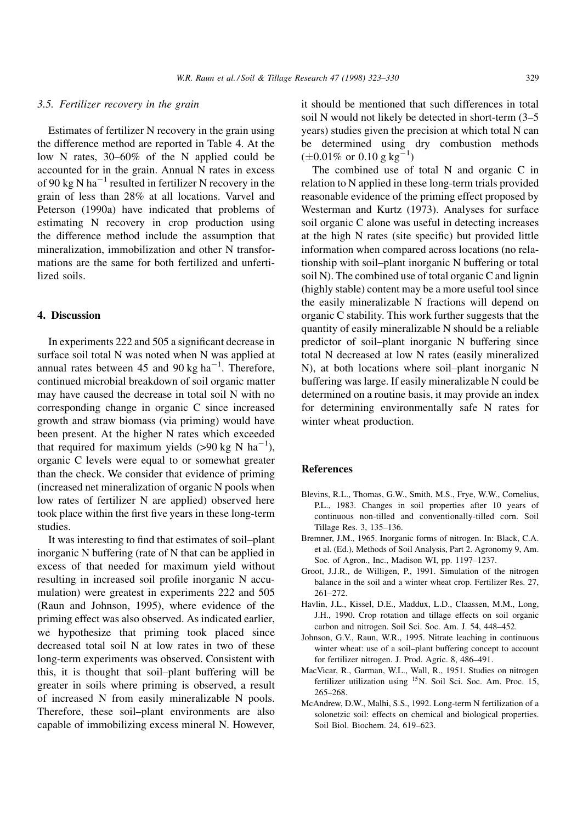# 3.5. Fertilizer recovery in the grain

Estimates of fertilizer N recovery in the grain using the difference method are reported in Table 4. At the low N rates,  $30-60\%$  of the N applied could be accounted for in the grain. Annual N rates in excess of 90 kg N ha<sup> $-1$ </sup> resulted in fertilizer N recovery in the grain of less than 28% at all locations. Varvel and Peterson (1990a) have indicated that problems of estimating N recovery in crop production using the difference method include the assumption that mineralization, immobilization and other N transformations are the same for both fertilized and unfertilized soils.

## 4. Discussion

In experiments 222 and 505 a significant decrease in surface soil total N was noted when N was applied at annual rates between 45 and 90 kg  $ha^{-1}$ . Therefore, continued microbial breakdown of soil organic matter may have caused the decrease in total soil N with no corresponding change in organic C since increased growth and straw biomass (via priming) would have been present. At the higher N rates which exceeded that required for maximum yields  $(>90 \text{ kg N ha}^{-1})$ , organic C levels were equal to or somewhat greater than the check. We consider that evidence of priming (increased net mineralization of organic N pools when low rates of fertilizer N are applied) observed here took place within the first five years in these long-term studies.

It was interesting to find that estimates of soil-plant inorganic N buffering (rate of N that can be applied in excess of that needed for maximum yield without resulting in increased soil profile inorganic N accumulation) were greatest in experiments 222 and 505 (Raun and Johnson, 1995), where evidence of the priming effect was also observed. As indicated earlier, we hypothesize that priming took placed since decreased total soil N at low rates in two of these long-term experiments was observed. Consistent with this, it is thought that soil-plant buffering will be greater in soils where priming is observed, a result of increased N from easily mineralizable N pools. Therefore, these soil-plant environments are also capable of immobilizing excess mineral N. However, it should be mentioned that such differences in total soil N would not likely be detected in short-term  $(3-5)$ years) studies given the precision at which total N can be determined using dry combustion methods  $(\pm 0.01\% \text{ or } 0.10 \text{ g kg}^{-1})$ 

The combined use of total N and organic C in relation to N applied in these long-term trials provided reasonable evidence of the priming effect proposed by Westerman and Kurtz (1973). Analyses for surface soil organic C alone was useful in detecting increases at the high N rates (site specific) but provided little information when compared across locations (no relationship with soil-plant inorganic N buffering or total soil N). The combined use of total organic C and lignin (highly stable) content may be a more useful tool since the easily mineralizable N fractions will depend on organic C stability. This work further suggests that the quantity of easily mineralizable N should be a reliable predictor of soil-plant inorganic N buffering since total N decreased at low N rates (easily mineralized N), at both locations where soil-plant inorganic N buffering was large. If easily mineralizable N could be determined on a routine basis, it may provide an index for determining environmentally safe N rates for winter wheat production.

# References

- Blevins, R.L., Thomas, G.W., Smith, M.S., Frye, W.W., Cornelius, P.L., 1983. Changes in soil properties after 10 years of continuous non-tilled and conventionally-tilled corn. Soil Tillage Res. 3, 135-136.
- Bremner, J.M., 1965. Inorganic forms of nitrogen. In: Black, C.A. et al. (Ed.), Methods of Soil Analysis, Part 2. Agronomy 9, Am. Soc. of Agron., Inc., Madison WI, pp. 1197-1237.
- Groot, J.J.R., de Willigen, P., 1991. Simulation of the nitrogen balance in the soil and a winter wheat crop. Fertilizer Res. 27, 261±272.
- Havlin, J.L., Kissel, D.E., Maddux, L.D., Claassen, M.M., Long, J.H., 1990. Crop rotation and tillage effects on soil organic carbon and nitrogen. Soil Sci. Soc. Am. J. 54, 448-452.
- Johnson, G.V., Raun, W.R., 1995. Nitrate leaching in continuous winter wheat: use of a soil-plant buffering concept to account for fertilizer nitrogen. J. Prod. Agric. 8, 486-491.
- MacVicar, R., Garman, W.L., Wall, R., 1951. Studies on nitrogen fertilizer utilization using 15N. Soil Sci. Soc. Am. Proc. 15, 265±268.
- McAndrew, D.W., Malhi, S.S., 1992. Long-term N fertilization of a solonetzic soil: effects on chemical and biological properties. Soil Biol. Biochem. 24, 619-623.